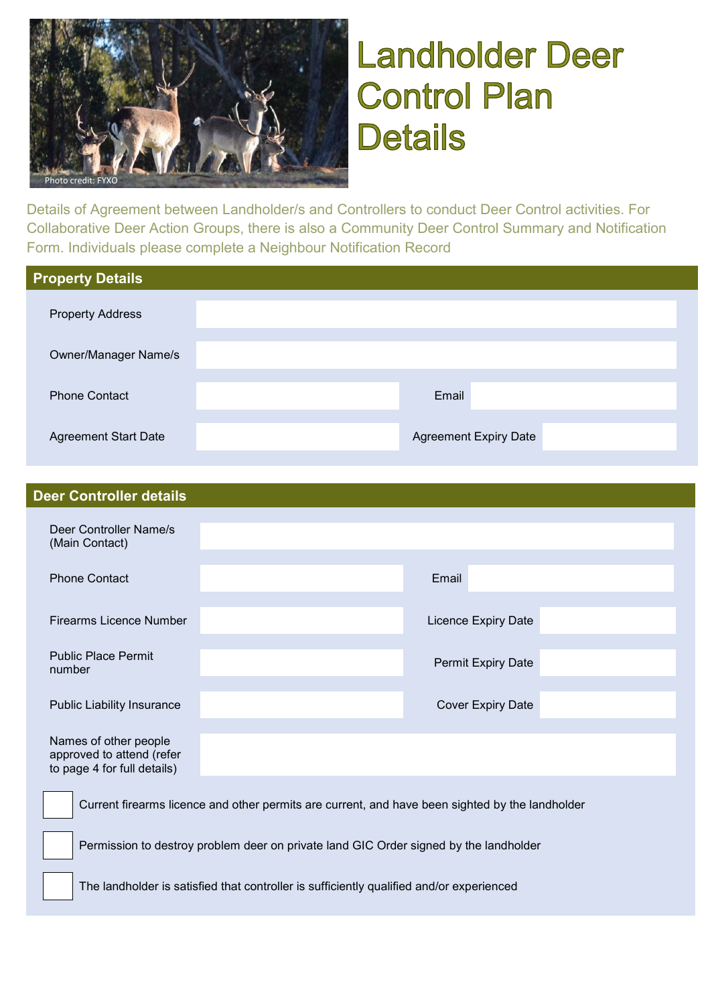

# **Landholder Deer Control Plan Details**

Details of Agreement between Landholder/s and Controllers to conduct Deer Control activities. For Collaborative Deer Action Groups, there is also a Community Deer Control Summary and Notification Form. Individuals please complete a Neighbour Notification Record

| <b>Property Details</b>     |                              |
|-----------------------------|------------------------------|
| <b>Property Address</b>     |                              |
| <b>Owner/Manager Name/s</b> |                              |
| <b>Phone Contact</b>        | Email                        |
| <b>Agreement Start Date</b> | <b>Agreement Expiry Date</b> |

| <b>Deer Controller details</b>                                                    |                          |
|-----------------------------------------------------------------------------------|--------------------------|
| Deer Controller Name/s<br>(Main Contact)                                          |                          |
| <b>Phone Contact</b>                                                              | Email                    |
| <b>Firearms Licence Number</b>                                                    | Licence Expiry Date      |
| <b>Public Place Permit</b><br>number                                              | Permit Expiry Date       |
| <b>Public Liability Insurance</b>                                                 | <b>Cover Expiry Date</b> |
| Names of other people<br>approved to attend (refer<br>to page 4 for full details) |                          |
|                                                                                   |                          |

Current firearms licence and other permits are current, and have been sighted by the landholder

Permission to destroy problem deer on private land GIC Order signed by the landholder

The landholder is satisfied that controller is sufficiently qualified and/or experienced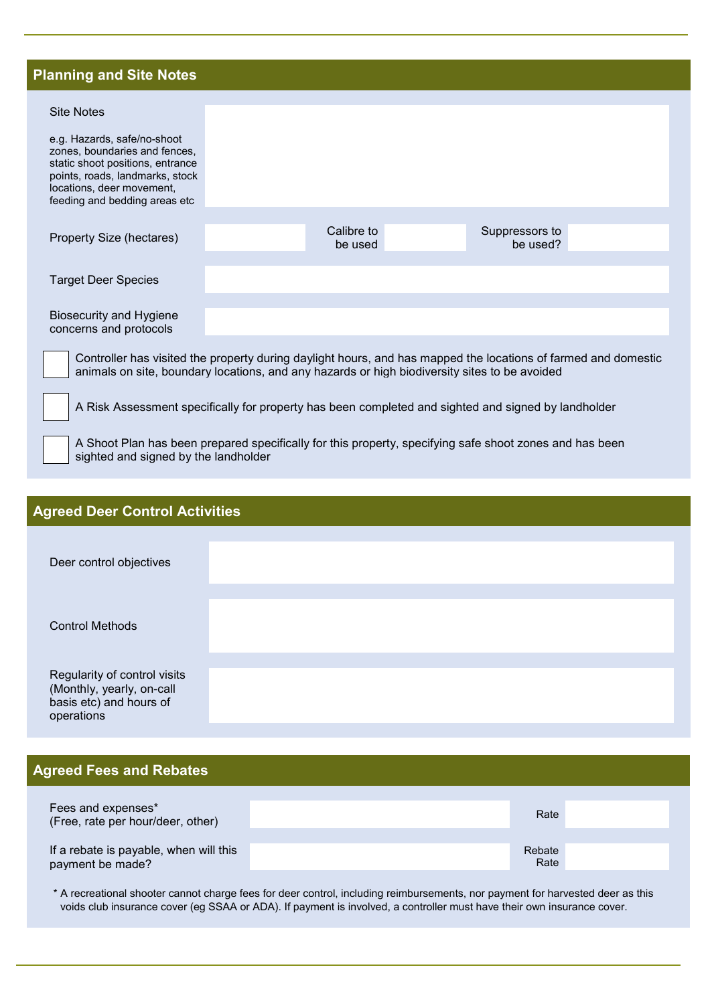### **Planning and Site Notes**

| <b>Site Notes</b>                                                                                                                                                                                               |  |                       |                            |  |
|-----------------------------------------------------------------------------------------------------------------------------------------------------------------------------------------------------------------|--|-----------------------|----------------------------|--|
| e.g. Hazards, safe/no-shoot<br>zones, boundaries and fences,<br>static shoot positions, entrance<br>points, roads, landmarks, stock<br>locations, deer movement,<br>feeding and bedding areas etc               |  |                       |                            |  |
| Property Size (hectares)                                                                                                                                                                                        |  | Calibre to<br>be used | Suppressors to<br>be used? |  |
| <b>Target Deer Species</b>                                                                                                                                                                                      |  |                       |                            |  |
| <b>Biosecurity and Hygiene</b><br>concerns and protocols                                                                                                                                                        |  |                       |                            |  |
| Controller has visited the property during daylight hours, and has mapped the locations of farmed and domestic<br>animals on site, boundary locations, and any hazards or high biodiversity sites to be avoided |  |                       |                            |  |
| A Risk Assessment specifically for property has been completed and sighted and signed by landholder                                                                                                             |  |                       |                            |  |

A Shoot Plan has been prepared specifically for this property, specifying safe shoot zones and has been sighted and signed by the landholder

# **Agreed Deer Control Activities** Deer control objectives Control Methods Regularity of control visits (Monthly, yearly, on-call basis etc) and hours of operations

#### **Agreed Fees and Rebates**

| Fees and expenses*<br>(Free, rate per hour/deer, other)    | Rate           |  |
|------------------------------------------------------------|----------------|--|
| If a rebate is payable, when will this<br>payment be made? | Rebate<br>Rate |  |

\* A recreational shooter cannot charge fees for deer control, including reimbursements, nor payment for harvested deer as this voids club insurance cover (eg SSAA or ADA). If payment is involved, a controller must have their own insurance cover.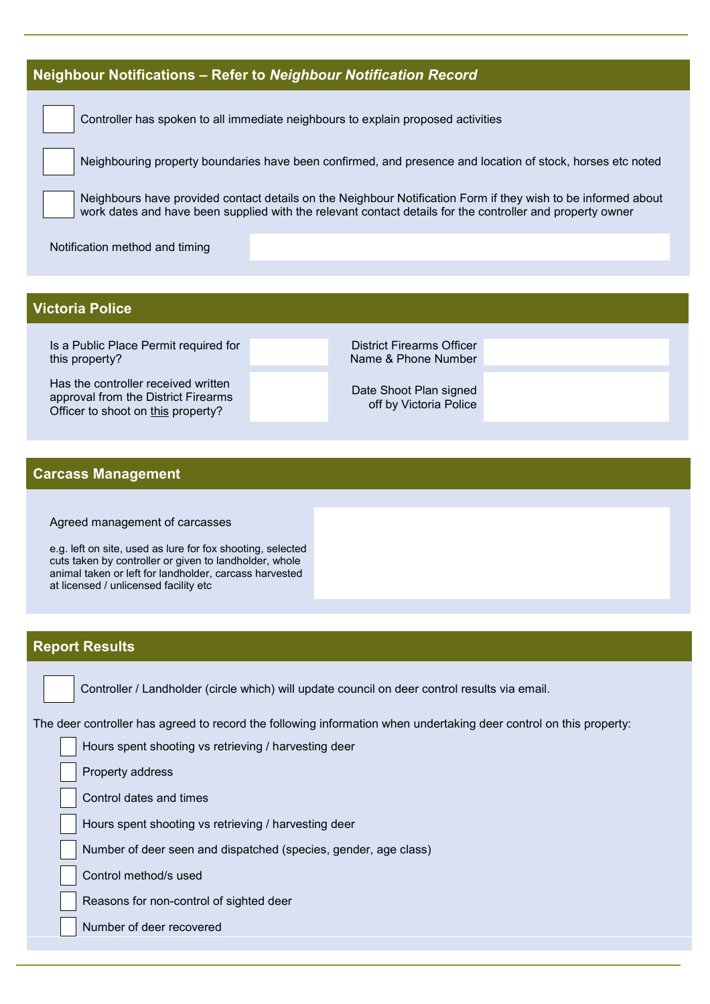#### **Neighbour Notifications – Refer to** *Neighbour Notification Record*

Controller has spoken to all immediate neighbours to explain proposed activities

Neighbouring property boundaries have been confirmed, and presence and location of stock, horses etc noted

Neighbours have provided contact details on the Neighbour Notification Form if they wish to be informed about work dates and have been supplied with the relevant contact details for the controller and property owner

Notification method and timing

#### **Victoria Police**

Is a Public Place Permit required for this property?

Has the controller received written approval from the District Firearms Officer to shoot on this property?

District Firearms Officer Name & Phone Number

Date Shoot Plan signed off by Victoria Police

#### **Carcass Management**

#### Agreed management of carcasses

e.g. left on site, used as lure for fox shooting, selected cuts taken by controller or given to landholder, whole animal taken or left for landholder, carcass harvested at licensed / unlicensed facility etc

#### **Report Results**

Controller / Landholder (circle which) will update council on deer control results via email.

The deer controller has agreed to record the following information when undertaking deer control on this property:

Hours spent shooting vs retrieving / harvesting deer

Property address

Control dates and times

Hours spent shooting vs retrieving / harvesting deer

Number of deer seen and dispatched (species, gender, age class)

Control method/s used

Reasons for non-control of sighted deer

Number of deer recovered